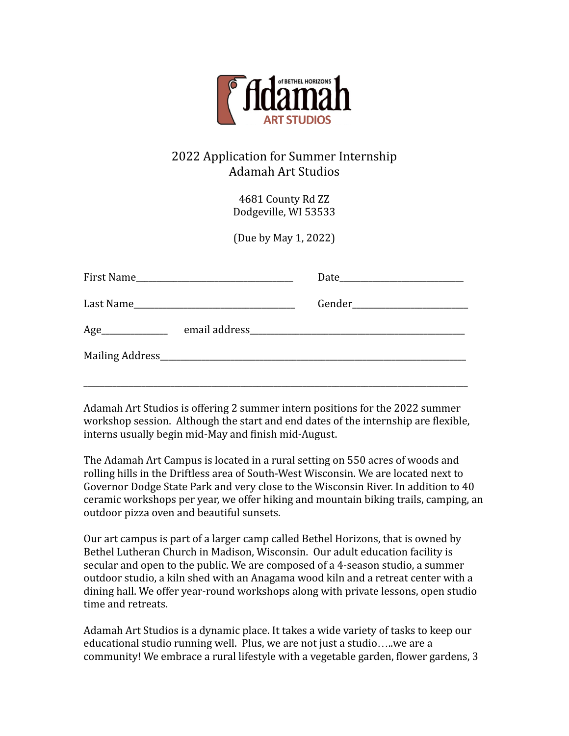

# 2022 Application for Summer Internship Adamah Art Studios

4681 County Rd ZZ Dodgeville, WI 53533

(Due by May 1, 2022)

| Age |  |
|-----|--|
|     |  |
|     |  |

Adamah Art Studios is offering 2 summer intern positions for the 2022 summer workshop session. Although the start and end dates of the internship are flexible, interns usually begin mid-May and finish mid-August.

The Adamah Art Campus is located in a rural setting on 550 acres of woods and rolling hills in the Driftless area of South-West Wisconsin. We are located next to Governor Dodge State Park and very close to the Wisconsin River. In addition to 40 ceramic workshops per year, we offer hiking and mountain biking trails, camping, an outdoor pizza oven and beautiful sunsets.

Our art campus is part of a larger camp called Bethel Horizons, that is owned by Bethel Lutheran Church in Madison, Wisconsin. Our adult education facility is secular and open to the public. We are composed of a 4-season studio, a summer outdoor studio, a kiln shed with an Anagama wood kiln and a retreat center with a dining hall. We offer year-round workshops along with private lessons, open studio time and retreats.

Adamah Art Studios is a dynamic place. It takes a wide variety of tasks to keep our educational studio running well. Plus, we are not just a studio…..we are a community! We embrace a rural lifestyle with a vegetable garden, flower gardens, 3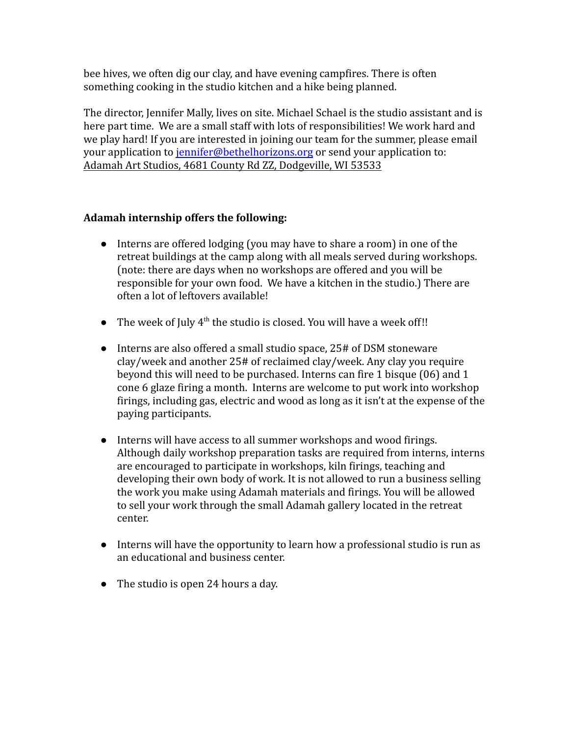bee hives, we often dig our clay, and have evening campfires. There is often something cooking in the studio kitchen and a hike being planned.

The director, Jennifer Mally, lives on site. Michael Schael is the studio assistant and is here part time. We are a small staff with lots of responsibilities! We work hard and we play hard! If you are interested in joining our team for the summer, please email your application to [jennifer@bethelhorizons.org](mailto:jennifer@bethelhorizons.org) or send your application to: Adamah Art Studios, 4681 County Rd ZZ, Dodgeville, WI 53533

## **Adamah internship offers the following:**

- Interns are offered lodging (you may have to share a room) in one of the retreat buildings at the camp along with all meals served during workshops. (note: there are days when no workshops are offered and you will be responsible for your own food. We have a kitchen in the studio.) There are often a lot of leftovers available!
- The week of July  $4<sup>th</sup>$  the studio is closed. You will have a week off!!
- Interns are also offered a small studio space, 25# of DSM stoneware clay/week and another 25# of reclaimed clay/week. Any clay you require beyond this will need to be purchased. Interns can fire 1 bisque (06) and 1 cone 6 glaze firing a month. Interns are welcome to put work into workshop firings, including gas, electric and wood as long as it isn't at the expense of the paying participants.
- Interns will have access to all summer workshops and wood firings. Although daily workshop preparation tasks are required from interns, interns are encouraged to participate in workshops, kiln firings, teaching and developing their own body of work. It is not allowed to run a business selling the work you make using Adamah materials and firings. You will be allowed to sell your work through the small Adamah gallery located in the retreat center.
- Interns will have the opportunity to learn how a professional studio is run as an educational and business center.
- The studio is open 24 hours a day.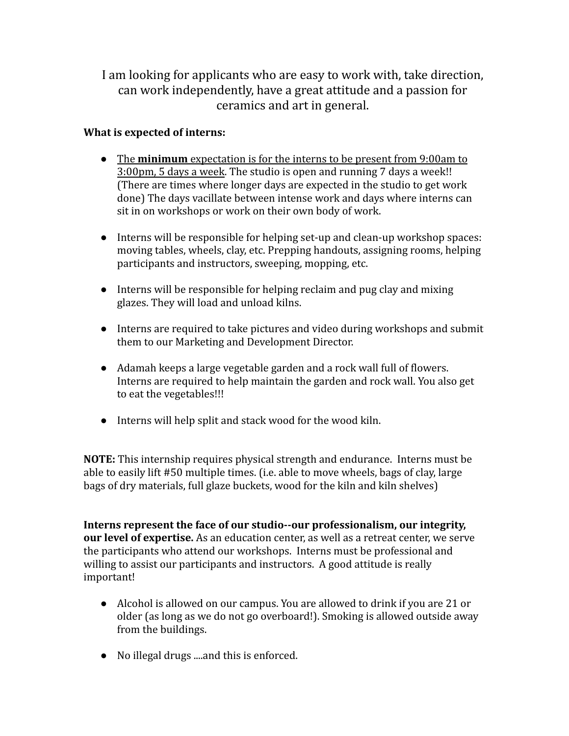I am looking for applicants who are easy to work with, take direction, can work independently, have a great attitude and a passion for ceramics and art in general.

## **What is expected of interns:**

- The **minimum** expectation is for the interns to be present from 9:00am to 3:00pm, 5 days a week. The studio is open and running 7 days a week!! (There are times where longer days are expected in the studio to get work done) The days vacillate between intense work and days where interns can sit in on workshops or work on their own body of work.
- Interns will be responsible for helping set-up and clean-up workshop spaces: moving tables, wheels, clay, etc. Prepping handouts, assigning rooms, helping participants and instructors, sweeping, mopping, etc.
- Interns will be responsible for helping reclaim and pug clay and mixing glazes. They will load and unload kilns.
- Interns are required to take pictures and video during workshops and submit them to our Marketing and Development Director.
- Adamah keeps a large vegetable garden and a rock wall full of flowers. Interns are required to help maintain the garden and rock wall. You also get to eat the vegetables!!!
- Interns will help split and stack wood for the wood kiln.

**NOTE:** This internship requires physical strength and endurance. Interns must be able to easily lift #50 multiple times. (i.e. able to move wheels, bags of clay, large bags of dry materials, full glaze buckets, wood for the kiln and kiln shelves)

**Interns represent the face of our studio--our professionalism, our integrity, our level of expertise.** As an education center, as well as a retreat center, we serve the participants who attend our workshops. Interns must be professional and willing to assist our participants and instructors. A good attitude is really important!

- Alcohol is allowed on our campus. You are allowed to drink if you are 21 or older (as long as we do not go overboard!). Smoking is allowed outside away from the buildings.
- No illegal drugs ....and this is enforced.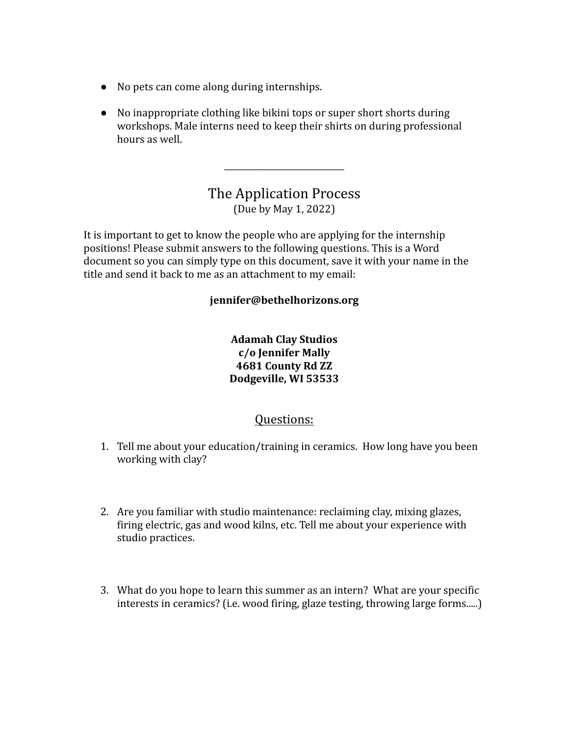- No pets can come along during internships.
- No inappropriate clothing like bikini tops or super short shorts during workshops. Male interns need to keep their shirts on during professional hours as well.

# The Application Process (Due by May 1, 2022)

\_\_\_\_\_\_\_\_\_\_\_\_\_\_\_\_\_\_\_\_\_\_\_\_\_\_\_\_\_

It is important to get to know the people who are applying for the internship positions! Please submit answers to the following questions. This is a Word document so you can simply type on this document, save it with your name in the title and send it back to me as an attachment to my email:

#### **jennifer@bethelhorizons.org**

**Adamah Clay Studios c/o Jennifer Mally 4681 County Rd ZZ Dodgeville, WI 53533**

# Questions:

- 1. Tell me about your education/training in ceramics. How long have you been working with clay?
- 2. Are you familiar with studio maintenance: reclaiming clay, mixing glazes, firing electric, gas and wood kilns, etc. Tell me about your experience with studio practices.
- 3. What do you hope to learn this summer as an intern? What are your specific interests in ceramics? (i.e. wood firing, glaze testing, throwing large forms.....)